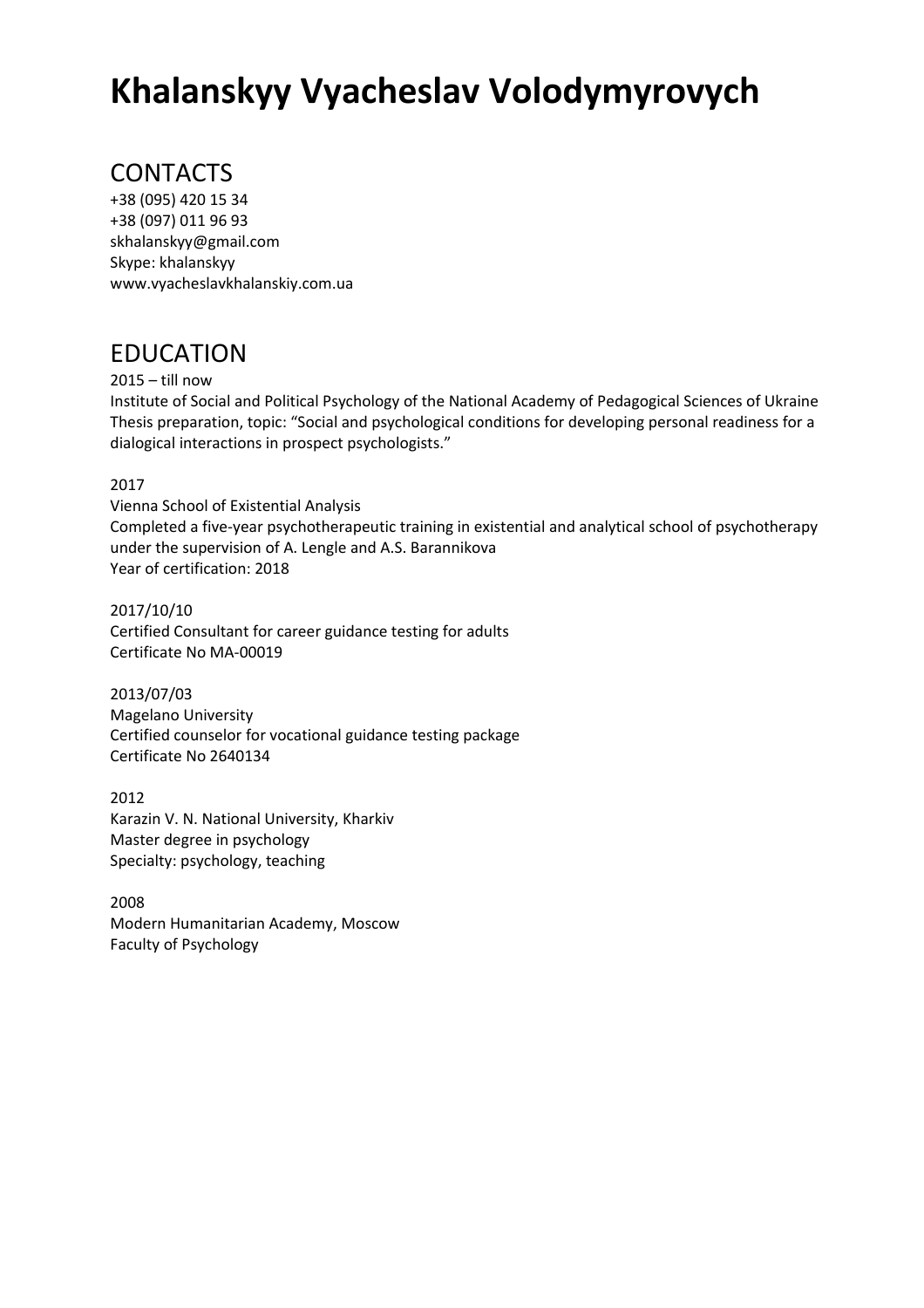# **Khalanskyy Vyacheslav Volodymyrovych**

# CONTACTS

+38 (095) 420 15 34 +38 (097) 011 96 93 skhalanskyy@gmail.com Skype: khalanskyy www.vyacheslavkhalanskiy.com.ua

### EDUCATION

2015 – till now

Institute of Social and Political Psychology of the National Academy of Pedagogical Sciences of Ukraine Thesis preparation, topic: "Social and psychological conditions for developing personal readiness for a dialogical interactions in prospect psychologists."

#### 2017

Vienna School of Existential Analysis Completed a five-year psychotherapeutic training in existential and analytical school of psychotherapy under the supervision of A. Lengle and A.S. Barannikova Year of certification: 2018

2017/10/10 Certified Consultant for career guidance testing for adults Certificate No MA-00019

2013/07/03 Magelano University Certified counselor for vocational guidance testing package Certificate No 2640134

2012 Karazin V. N. National University, Kharkiv Master degree in psychology Specialty: psychology, teaching

2008 Modern Humanitarian Academy, Moscow Faculty of Psychology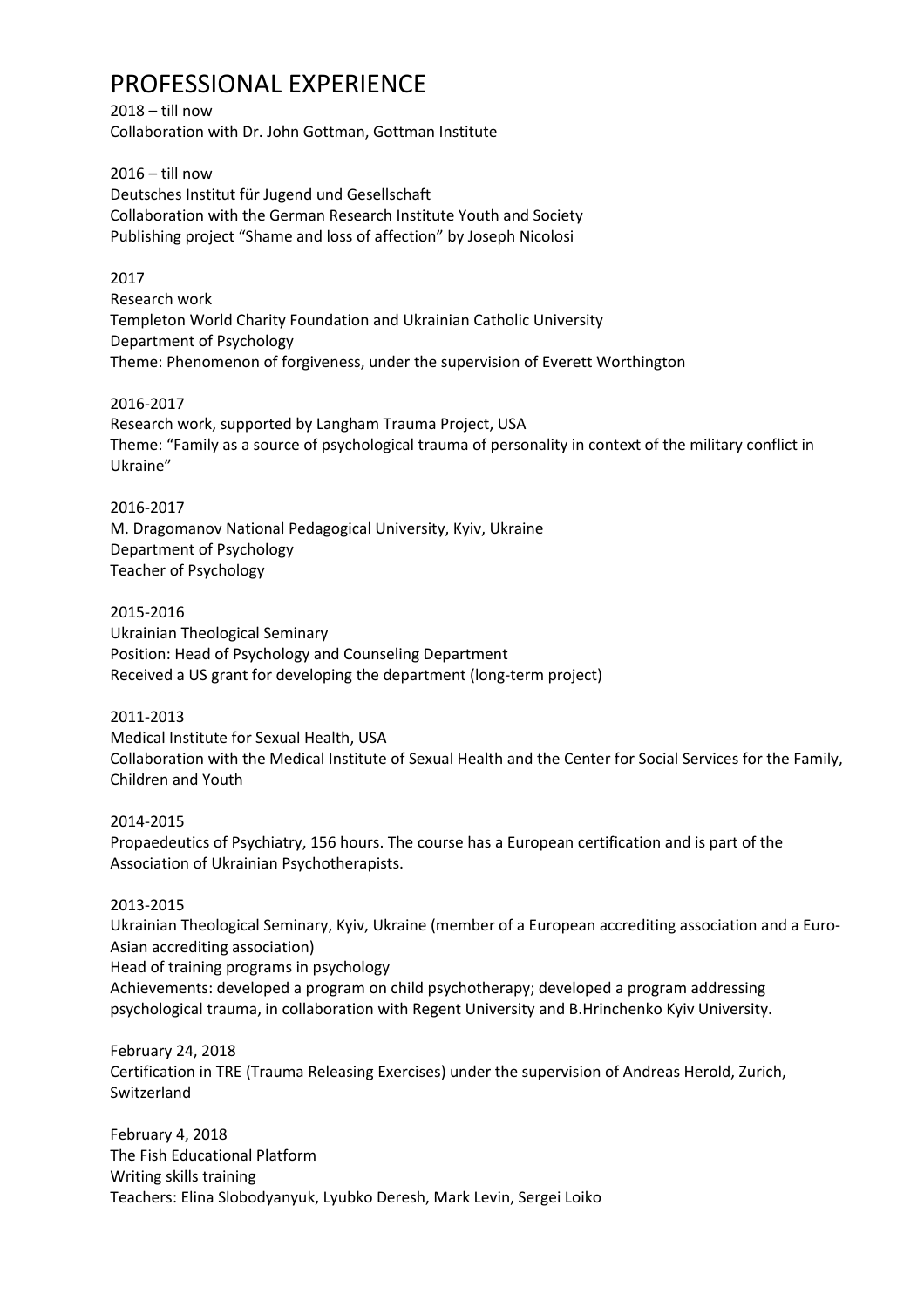### PROFESSIONAL EXPERIENCE

2018 – till now Collaboration with Dr. John Gottman, Gottman Institute

2016 – till now Deutsches Institut für Jugend und Gesellschaft Collaboration with the German Research Institute Youth and Society Publishing project "Shame and loss of affection" by Joseph Nicolosi

#### 2017

Research work Templeton World Charity Foundation and Ukrainian Catholic University Department of Psychology Theme: Phenomenon of forgiveness, under the supervision of Everett Worthington

#### 2016-2017

Research work, supported by Langham Trauma Project, USA Theme: "Family as a source of psychological trauma of personality in context of the military conflict in Ukraine"

#### 2016-2017

M. Dragomanov National Pedagogical University, Kyiv, Ukraine Department of Psychology Teacher of Psychology

#### 2015-2016

Ukrainian Theological Seminary Position: Head of Psychology and Counseling Department Received a US grant for developing the department (long-term project)

#### 2011-2013

Medical Institute for Sexual Health, USA

Collaboration with the Medical Institute of Sexual Health and the Center for Social Services for the Family, Children and Youth

#### 2014-2015

Propaedeutics of Psychiatry, 156 hours. The course has a European certification and is part of the Association of Ukrainian Psychotherapists.

#### 2013-2015

Ukrainian Theological Seminary, Kyiv, Ukraine (member of a European accrediting association and a Euro-Asian accrediting association) Head of training programs in psychology Achievements: developed a program on child psychotherapy; developed a program addressing psychological trauma, in collaboration with Regent University and B.Hrinchenko Kyiv University.

February 24, 2018 Certification in TRE (Trauma Releasing Exercises) under the supervision of Andreas Herold, Zurich, Switzerland

February 4, 2018 The Fish Educational Platform Writing skills training Teachers: Elina Slobodyanyuk, Lyubko Deresh, Mark Levin, Sergei Loiko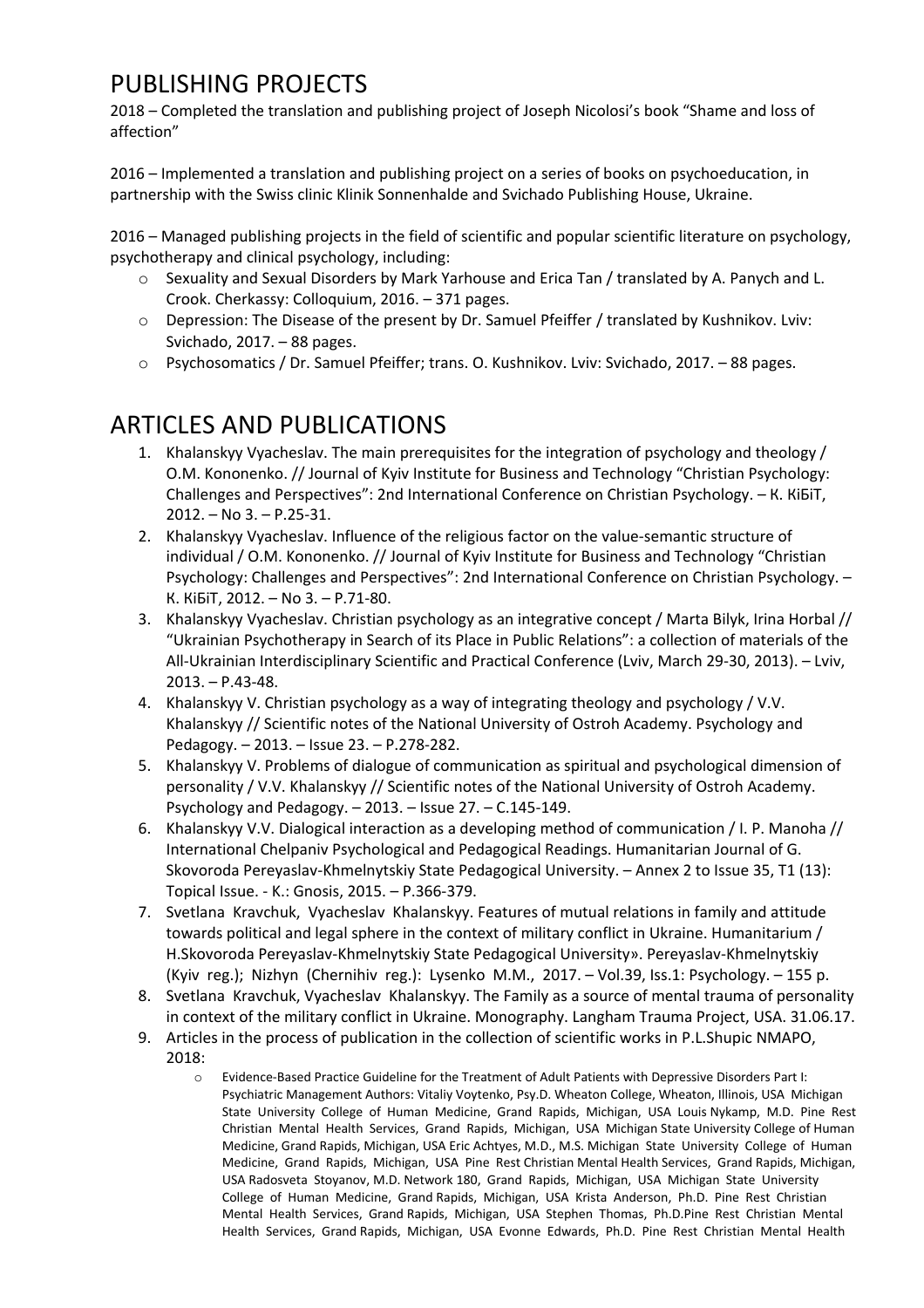# PUBLISHING PROJECTS

2018 – Completed the translation and publishing project of Joseph Nicolosi's book "Shame and loss of affection"

2016 – Implemented a translation and publishing project on a series of books on psychoeducation, in partnership with the Swiss clinic Klinik Sonnenhalde and Svichado Publishing House, Ukraine.

2016 – Managed publishing projects in the field of scientific and popular scientific literature on psychology, psychotherapy and clinical psychology, including:

- o Sexuality and Sexual Disorders by Mark Yarhouse and Erica Tan / translated by A. Panych and L. Crook. Cherkassy: Colloquium, 2016. – 371 pages.
- o Depression: The Disease of the present by Dr. Samuel Pfeiffer / translated by Kushnіkov. Lviv: Svichado, 2017. – 88 pages.
- o Psychosomatics / Dr. Samuel Pfeiffer; trans. O. Kushnіkov. Lviv: Svichado, 2017. 88 pages.

### ARTICLES AND PUBLICATIONS

- 1. Khalanskyy Vyacheslav. The main prerequisites for the integration of psychology and theology / O.M. Kononenko. // Journal of Kyiv Institute for Business and Technology "Christian Psychology: Challenges and Perspectives": 2nd International Conference on Christian Psychology. – К. КіБіТ, 2012. – No 3. – P.25-31.
- 2. Khalanskyy Vyacheslav. Influence of the religious factor on the value-semantic structure of individual / O.M. Kononenko. // Journal of Kyiv Institute for Business and Technology "Christian Psychology: Challenges and Perspectives": 2nd International Conference on Christian Psychology. – К. КіБіТ, 2012. – No 3. – P.71-80.
- 3. Khalanskyy Vyacheslav. Christian psychology as an integrative concept / Marta Bilyk, Irina Horbal // "Ukrainian Psychotherapy in Search of its Place in Public Relations": a collection of materials of the All-Ukrainian Interdisciplinary Scientific and Practical Conference (Lviv, March 29-30, 2013). – Lviv, 2013. – P.43-48.
- 4. Khalanskyy V. Christian psychology as a way of integrating theology and psychology / V.V. Khalanskyy // Scientific notes of the National University of Ostroh Academy. Psychology and Pedagogy. – 2013. – Issue 23. – P.278-282.
- 5. Khalanskyy V. Problems of dialogue of communication as spiritual and psychological dimension of personality / V.V. Khalanskyy // Scientific notes of the National University of Ostroh Academy. Psychology and Pedagogy. – 2013. – Issue 27. – С.145-149.
- 6. Khalanskyy V.V. Dialogical interaction as a developing method of communication / I. P. Manoha // International Chelpaniv Psychological and Pedagogical Readings. Humanitarian Journal of G. Skovoroda Pereyaslav-Khmelnytskiy State Pedagogical University. – Annex 2 to Issue 35, T1 (13): Topical Issue. - K.: Gnosis, 2015. – P.366-379.
- 7. Svetlana Kravchuk, Vyacheslav Khalanskyy. Features of mutual relations in family and attitude towards political and legal sphere in the context of military conflict in Ukraine. Humanitarium / H.Skovoroda Pereyaslav-Khmelnytskiy State Pedagogical University». Pereyaslav-Khmelnytskiy (Kyiv reg.); Nizhyn (Chernihiv reg.): Lysenko M.M., 2017. – Vol.39, Iss.1: Psychology. – 155 p.
- 8. Svetlana Kravchuk, Vyacheslav Khalanskyy. The Family as a source of mental trauma of personality in context of the military conflict in Ukraine. Monography. Langham Trauma Project, USA. 31.06.17.
- 9. Articles in the process of publication in the collection of scientific works in P.L.Shupic NMAPO, 2018:
	- o Evidence-Based Practice Guideline for the Treatment of Adult Patients with Depressive Disorders Part I: Psychiatric Management Authors: Vitaliy Voytenko, Psy.D. Wheaton College, Wheaton, Illinois, USA Michigan State University College of Human Medicine, Grand Rapids, Michigan, USA Louis Nykamp, M.D. Pine Rest Christian Mental Health Services, Grand Rapids, Michigan, USA Michigan State University College of Human Medicine, Grand Rapids, Michigan, USA Eric Achtyes, M.D., M.S. Michigan State University College of Human Medicine, Grand Rapids, Michigan, USA Pine Rest Christian Mental Health Services, Grand Rapids, Michigan, USA Radosveta Stoyanov, M.D. Network 180, Grand Rapids, Michigan, USA Michigan State University College of Human Medicine, Grand Rapids, Michigan, USA Krista Anderson, Ph.D. Pine Rest Christian Mental Health Services, Grand Rapids, Michigan, USA Stephen Thomas, Ph.D.Pine Rest Christian Mental Health Services, Grand Rapids, Michigan, USA Evonne Edwards, Ph.D. Pine Rest Christian Mental Health